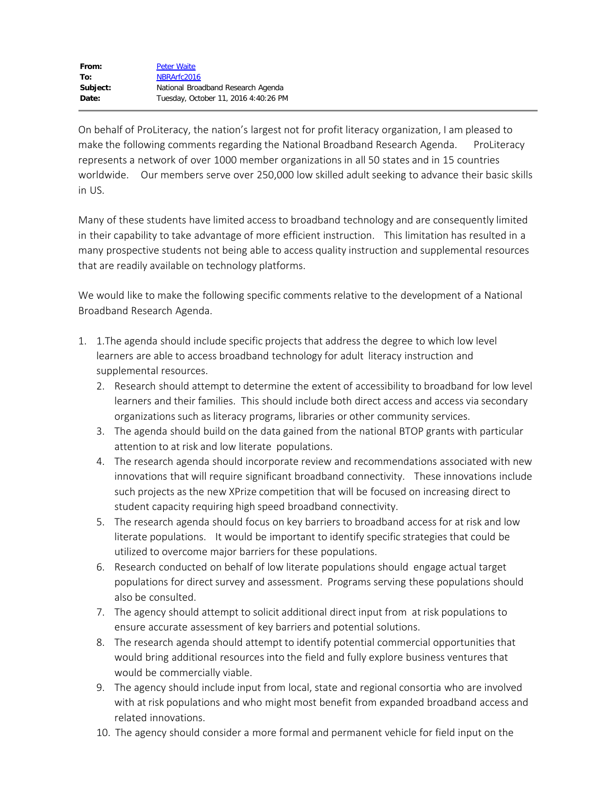On behalf of ProLiteracy, the nation's largest not for profit literacy organization, I am pleased to make the following comments regarding the National Broadband Research Agenda. ProLiteracy represents a network of over 1000 member organizations in all 50 states and in 15 countries worldwide. Our members serve over 250,000 low skilled adult seeking to advance their basic skills in US.

Many of these students have limited access to broadband technology and are consequently limited in their capability to take advantage of more efficient instruction. This limitation has resulted in a many prospective students not being able to access quality instruction and supplemental resources that are readily available on technology platforms.

We would like to make the following specific comments relative to the development of a National Broadband Research Agenda.

- 1. 1.The agenda should include specific projects that address the degree to which low level learners are able to access broadband technology for adult literacy instruction and supplemental resources.
	- 2. Research should attempt to determine the extent of accessibility to broadband for low level learners and their families. This should include both direct access and access via secondary organizations such as literacy programs, libraries or other community services.
	- 3. The agenda should build on the data gained from the national BTOP grants with particular attention to at risk and low literate populations.
	- 4. The research agenda should incorporate review and recommendations associated with new innovations that will require significant broadband connectivity. These innovations include such projects as the new XPrize competition that will be focused on increasing direct to student capacity requiring high speed broadband connectivity.
	- 5. The research agenda should focus on key barriers to broadband access for at risk and low literate populations. It would be important to identify specific strategies that could be utilized to overcome major barriers for these populations.
	- 6. Research conducted on behalf of low literate populations should engage actual target populations for direct survey and assessment. Programs serving these populations should also be consulted.
	- 7. The agency should attempt to solicit additional direct input from at risk populations to ensure accurate assessment of key barriers and potential solutions.
	- 8. The research agenda should attempt to identify potential commercial opportunities that would bring additional resources into the field and fully explore business ventures that would be commercially viable.
	- 9. The agency should include input from local, state and regional consortia who are involved with at risk populations and who might most benefit from expanded broadband access and related innovations.
	- 10. The agency should consider a more formal and permanent vehicle for field input on the